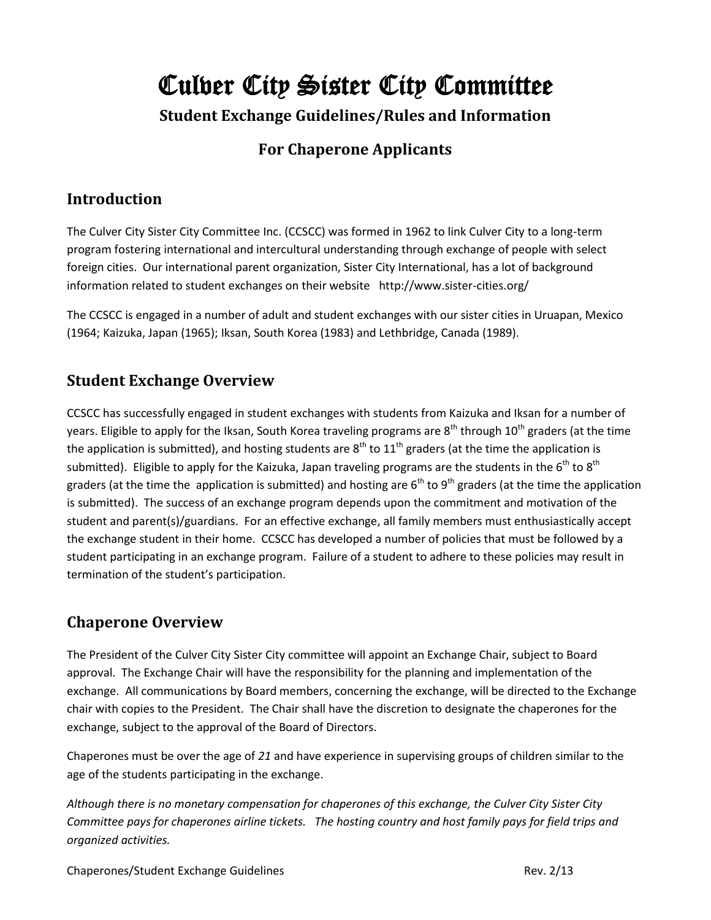# Culver City Sister City Committee

## **Student Exchange Guidelines/Rules and Information**

## **For Chaperone Applicants**

### **Introduction**

The Culver City Sister City Committee Inc. (CCSCC) was formed in 1962 to link Culver City to a long-term program fostering international and intercultural understanding through exchange of people with select foreign cities. Our international parent organization, Sister City International, has a lot of background information related to student exchanges on their website http://www.sister-cities.org/

The CCSCC is engaged in a number of adult and student exchanges with our sister cities in Uruapan, Mexico (1964; Kaizuka, Japan (1965); Iksan, South Korea (1983) and Lethbridge, Canada (1989).

#### **Student Exchange Overview**

CCSCC has successfully engaged in student exchanges with students from Kaizuka and Iksan for a number of years. Eligible to apply for the Iksan, South Korea traveling programs are  $8<sup>th</sup>$  through 10<sup>th</sup> graders (at the time the application is submitted), and hosting students are  $8<sup>th</sup>$  to 11<sup>th</sup> graders (at the time the application is submitted). Eligible to apply for the Kaizuka, Japan traveling programs are the students in the  $6<sup>th</sup>$  to  $8<sup>th</sup>$ graders (at the time the application is submitted) and hosting are  $6<sup>th</sup>$  to  $9<sup>th</sup>$  graders (at the time the application is submitted). The success of an exchange program depends upon the commitment and motivation of the student and parent(s)/guardians. For an effective exchange, all family members must enthusiastically accept the exchange student in their home. CCSCC has developed a number of policies that must be followed by a student participating in an exchange program. Failure of a student to adhere to these policies may result in termination of the student's participation.

## **Chaperone Overview**

The President of the Culver City Sister City committee will appoint an Exchange Chair, subject to Board approval. The Exchange Chair will have the responsibility for the planning and implementation of the exchange. All communications by Board members, concerning the exchange, will be directed to the Exchange chair with copies to the President. The Chair shall have the discretion to designate the chaperones for the exchange, subject to the approval of the Board of Directors.

Chaperones must be over the age of *21* and have experience in supervising groups of children similar to the age of the students participating in the exchange.

*Although there is no monetary compensation for chaperones of this exchange, the Culver City Sister City Committee pays for chaperones airline tickets. The hosting country and host family pays for field trips and organized activities.*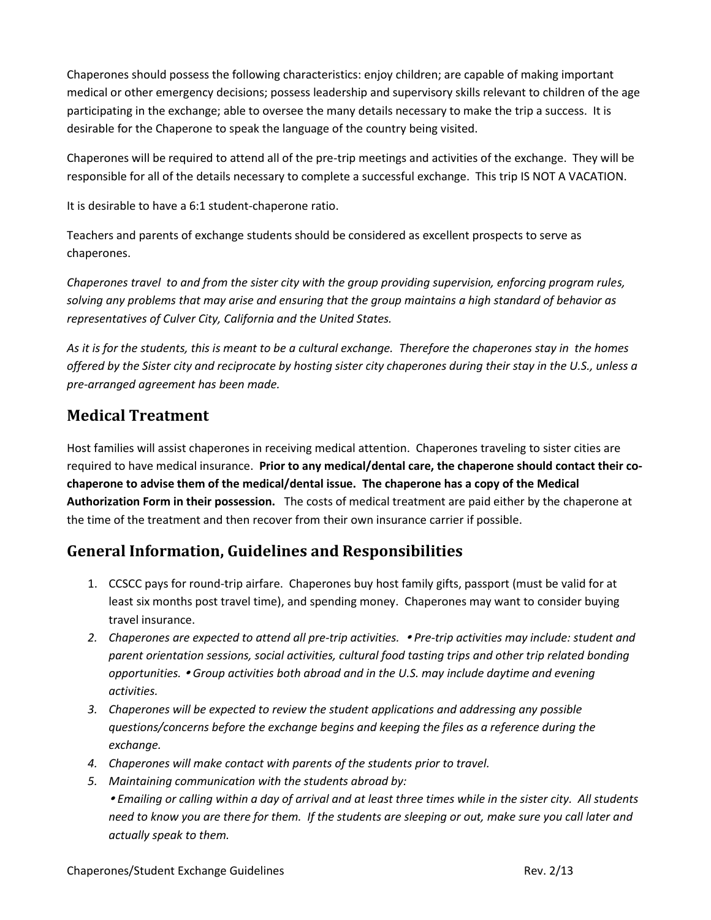Chaperones should possess the following characteristics: enjoy children; are capable of making important medical or other emergency decisions; possess leadership and supervisory skills relevant to children of the age participating in the exchange; able to oversee the many details necessary to make the trip a success. It is desirable for the Chaperone to speak the language of the country being visited.

Chaperones will be required to attend all of the pre-trip meetings and activities of the exchange. They will be responsible for all of the details necessary to complete a successful exchange. This trip IS NOT A VACATION.

It is desirable to have a 6:1 student-chaperone ratio.

Teachers and parents of exchange students should be considered as excellent prospects to serve as chaperones.

*Chaperones travel to and from the sister city with the group providing supervision, enforcing program rules, solving any problems that may arise and ensuring that the group maintains a high standard of behavior as representatives of Culver City, California and the United States.*

*As it is for the students, this is meant to be a cultural exchange. Therefore the chaperones stay in the homes offered by the Sister city and reciprocate by hosting sister city chaperones during their stay in the U.S., unless a pre-arranged agreement has been made.* 

#### **Medical Treatment**

Host families will assist chaperones in receiving medical attention. Chaperones traveling to sister cities are required to have medical insurance. **Prior to any medical/dental care, the chaperone should contact their cochaperone to advise them of the medical/dental issue. The chaperone has a copy of the Medical Authorization Form in their possession.** The costs of medical treatment are paid either by the chaperone at the time of the treatment and then recover from their own insurance carrier if possible.

## **General Information, Guidelines and Responsibilities**

- 1. CCSCC pays for round-trip airfare. Chaperones buy host family gifts, passport (must be valid for at least six months post travel time), and spending money. Chaperones may want to consider buying travel insurance.
- *2. Chaperones are expected to attend all pre-trip activities. Pre-trip activities may include: student and parent orientation sessions, social activities, cultural food tasting trips and other trip related bonding opportunities. Group activities both abroad and in the U.S. may include daytime and evening activities.*
- *3. Chaperones will be expected to review the student applications and addressing any possible questions/concerns before the exchange begins and keeping the files as a reference during the exchange.*
- *4. Chaperones will make contact with parents of the students prior to travel.*
- *5. Maintaining communication with the students abroad by:*

 *Emailing or calling within a day of arrival and at least three times while in the sister city. All students need to know you are there for them. If the students are sleeping or out, make sure you call later and actually speak to them.*